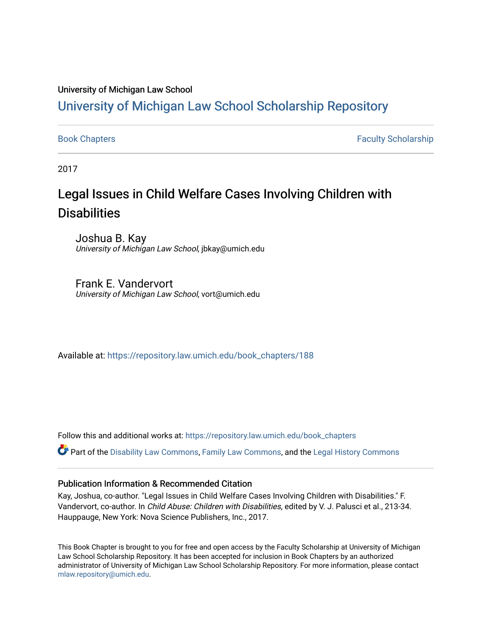#### University of Michigan Law School

# [University of Michigan Law School Scholarship Repository](https://repository.law.umich.edu/)

[Book Chapters](https://repository.law.umich.edu/book_chapters) Faculty Scholarship

2017

# Legal Issues in Child Welfare Cases Involving Children with **Disabilities**

Joshua B. Kay University of Michigan Law School, jbkay@umich.edu

# Frank E. Vandervort

University of Michigan Law School, vort@umich.edu

Available at: [https://repository.law.umich.edu/book\\_chapters/188](https://repository.law.umich.edu/book_chapters/188) 

Follow this and additional works at: [https://repository.law.umich.edu/book\\_chapters](https://repository.law.umich.edu/book_chapters?utm_source=repository.law.umich.edu%2Fbook_chapters%2F188&utm_medium=PDF&utm_campaign=PDFCoverPages)

Part of the [Disability Law Commons](http://network.bepress.com/hgg/discipline/1074?utm_source=repository.law.umich.edu%2Fbook_chapters%2F188&utm_medium=PDF&utm_campaign=PDFCoverPages), [Family Law Commons](http://network.bepress.com/hgg/discipline/602?utm_source=repository.law.umich.edu%2Fbook_chapters%2F188&utm_medium=PDF&utm_campaign=PDFCoverPages), and the [Legal History Commons](http://network.bepress.com/hgg/discipline/904?utm_source=repository.law.umich.edu%2Fbook_chapters%2F188&utm_medium=PDF&utm_campaign=PDFCoverPages)

## Publication Information & Recommended Citation

Kay, Joshua, co-author. "Legal Issues in Child Welfare Cases Involving Children with Disabilities." F. Vandervort, co-author. In Child Abuse: Children with Disabilities, edited by V. J. Palusci et al., 213-34. Hauppauge, New York: Nova Science Publishers, Inc., 2017.

This Book Chapter is brought to you for free and open access by the Faculty Scholarship at University of Michigan Law School Scholarship Repository. It has been accepted for inclusion in Book Chapters by an authorized administrator of University of Michigan Law School Scholarship Repository. For more information, please contact [mlaw.repository@umich.edu.](mailto:mlaw.repository@umich.edu)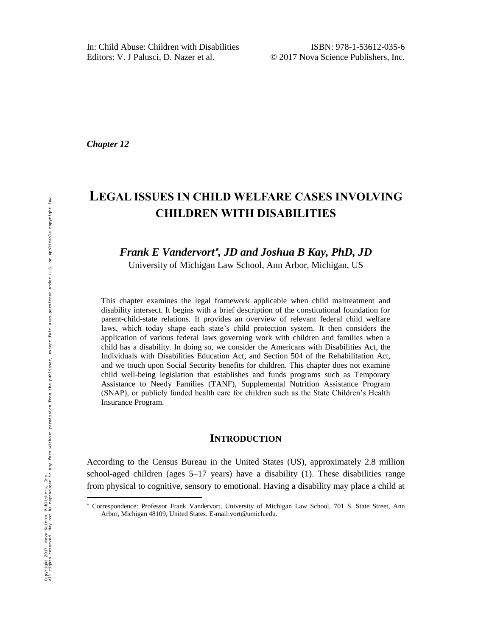*Chapter 12* 

# **LEGAL ISSUES IN CHILD WELFARE CASES INVOLVING CHILDREN WITH DISABILITIES**

# *Frank E Vandervort , JD and Joshua B Kay, PhD, JD*

University of Michigan Law School, Ann Arbor, Michigan, US

This chapter examines the legal framework applicable when child maltreatment and disability intersect. It begins with a brief description of the constitutional foundation for parent-child-state relations. It provides an overview of relevant federal child welfare laws, which today shape each state's child protection system. It then considers the application of various federal laws governing work with children and families when a child has a disability. In doing so, we consider the Americans with Disabilities Act, the Individuals with Disabilities Education Act, and Section 504 of the Rehabilitation Act, and we touch upon Social Security benefits for children. This chapter does not examine child well-being legislation that establishes and funds programs such as Temporary Assistance to Needy Families (TANF), Supplemental Nutrition Assistance Program (SNAP), or publicly funded health care for children such as the State Children's Health Insurance Program.

# **INTRODUCTION**

According to the Census Bureau in the United States (US), approximately 2.8 million school-aged children (ages 5–17 years) have a disability (1). These disabilities range from physical to cognitive, sensory to emotional. Having a disability may place a child at

 Correspondence: Professor Frank Vandervort, University of Michigan Law School, 701 S. State Street, Ann Arbor, Michigan 48109, United States. E-mail:vort@umich.edu.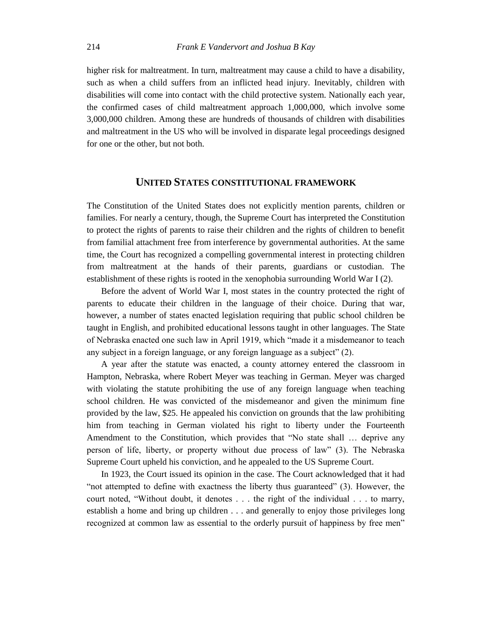higher risk for maltreatment. In turn, maltreatment may cause a child to have a disability, such as when a child suffers from an inflicted head injury. Inevitably, children with disabilities will come into contact with the child protective system. Nationally each year, the confirmed cases of child maltreatment approach 1,000,000, which involve some 3,000,000 children. Among these are hundreds of thousands of children with disabilities and maltreatment in the US who will be involved in disparate legal proceedings designed for one or the other, but not both.

#### **UNITED STATES CONSTITUTIONAL FRAMEWORK**

The Constitution of the United States does not explicitly mention parents, children or families. For nearly a century, though, the Supreme Court has interpreted the Constitution to protect the rights of parents to raise their children and the rights of children to benefit from familial attachment free from interference by governmental authorities. At the same time, the Court has recognized a compelling governmental interest in protecting children from maltreatment at the hands of their parents, guardians or custodian. The establishment of these rights is rooted in the xenophobia surrounding World War I (2).

Before the advent of World War I, most states in the country protected the right of parents to educate their children in the language of their choice. During that war, however, a number of states enacted legislation requiring that public school children be taught in English, and prohibited educational lessons taught in other languages. The State of Nebraska enacted one such law in April 1919, which "made it a misdemeanor to teach any subject in a foreign language, or any foreign language as a subject" (2).

A year after the statute was enacted, a county attorney entered the classroom in Hampton, Nebraska, where Robert Meyer was teaching in German. Meyer was charged with violating the statute prohibiting the use of any foreign language when teaching school children. He was convicted of the misdemeanor and given the minimum fine provided by the law, \$25. He appealed his conviction on grounds that the law prohibiting him from teaching in German violated his right to liberty under the Fourteenth Amendment to the Constitution, which provides that "No state shall … deprive any person of life, liberty, or property without due process of law" (3). The Nebraska Supreme Court upheld his conviction, and he appealed to the US Supreme Court.

In 1923, the Court issued its opinion in the case. The Court acknowledged that it had "not attempted to define with exactness the liberty thus guaranteed" (3). However, the court noted, "Without doubt, it denotes . . . the right of the individual . . . to marry, establish a home and bring up children . . . and generally to enjoy those privileges long recognized at common law as essential to the orderly pursuit of happiness by free men"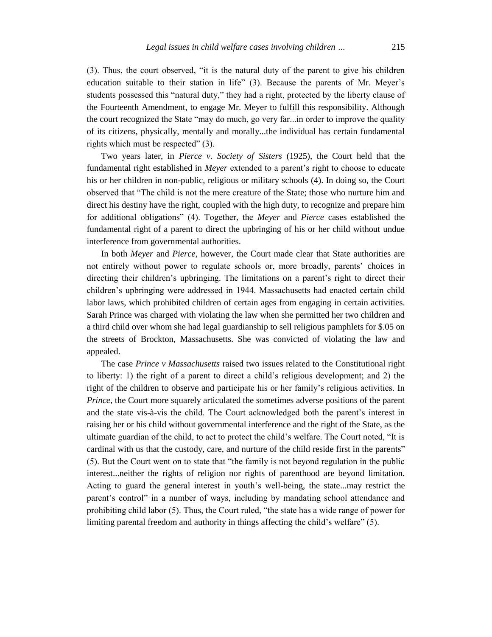(3). Thus, the court observed, "it is the natural duty of the parent to give his children education suitable to their station in life" (3). Because the parents of Mr. Meyer's students possessed this "natural duty," they had a right, protected by the liberty clause of the Fourteenth Amendment, to engage Mr. Meyer to fulfill this responsibility. Although the court recognized the State "may do much, go very far...in order to improve the quality of its citizens, physically, mentally and morally...the individual has certain fundamental rights which must be respected" (3).

Two years later, in *Pierce v. Society of Sisters* (1925), the Court held that the fundamental right established in *Meyer* extended to a parent's right to choose to educate his or her children in non-public, religious or military schools (4). In doing so, the Court observed that "The child is not the mere creature of the State; those who nurture him and direct his destiny have the right, coupled with the high duty, to recognize and prepare him for additional obligations" (4). Together, the *Meyer* and *Pierce* cases established the fundamental right of a parent to direct the upbringing of his or her child without undue interference from governmental authorities.

In both *Meyer* and *Pierce*, however, the Court made clear that State authorities are not entirely without power to regulate schools or, more broadly, parents' choices in directing their children's upbringing. The limitations on a parent's right to direct their children's upbringing were addressed in 1944. Massachusetts had enacted certain child labor laws, which prohibited children of certain ages from engaging in certain activities. Sarah Prince was charged with violating the law when she permitted her two children and a third child over whom she had legal guardianship to sell religious pamphlets for \$.05 on the streets of Brockton, Massachusetts. She was convicted of violating the law and appealed.

The case *Prince v Massachusetts* raised two issues related to the Constitutional right to liberty: 1) the right of a parent to direct a child's religious development; and 2) the right of the children to observe and participate his or her family's religious activities. In *Prince*, the Court more squarely articulated the sometimes adverse positions of the parent and the state vis-à-vis the child. The Court acknowledged both the parent's interest in raising her or his child without governmental interference and the right of the State, as the ultimate guardian of the child, to act to protect the child's welfare. The Court noted, "It is cardinal with us that the custody, care, and nurture of the child reside first in the parents" (5). But the Court went on to state that "the family is not beyond regulation in the public interest...neither the rights of religion nor rights of parenthood are beyond limitation. Acting to guard the general interest in youth's well-being, the state...may restrict the parent's control" in a number of ways, including by mandating school attendance and prohibiting child labor (5). Thus, the Court ruled, "the state has a wide range of power for limiting parental freedom and authority in things affecting the child's welfare" (5).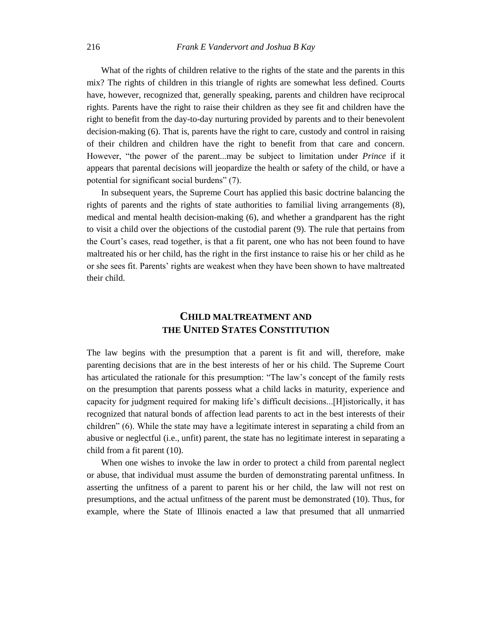What of the rights of children relative to the rights of the state and the parents in this mix? The rights of children in this triangle of rights are somewhat less defined. Courts have, however, recognized that, generally speaking, parents and children have reciprocal rights. Parents have the right to raise their children as they see fit and children have the right to benefit from the day-to-day nurturing provided by parents and to their benevolent decision-making (6). That is, parents have the right to care, custody and control in raising of their children and children have the right to benefit from that care and concern. However, "the power of the parent...may be subject to limitation under *Prince* if it appears that parental decisions will jeopardize the health or safety of the child, or have a potential for significant social burdens" (7).

In subsequent years, the Supreme Court has applied this basic doctrine balancing the rights of parents and the rights of state authorities to familial living arrangements (8), medical and mental health decision-making (6), and whether a grandparent has the right to visit a child over the objections of the custodial parent (9). The rule that pertains from the Court's cases, read together, is that a fit parent, one who has not been found to have maltreated his or her child, has the right in the first instance to raise his or her child as he or she sees fit. Parents' rights are weakest when they have been shown to have maltreated their child.

# **CHILD MALTREATMENT AND THE UNITED STATES CONSTITUTION**

The law begins with the presumption that a parent is fit and will, therefore, make parenting decisions that are in the best interests of her or his child. The Supreme Court has articulated the rationale for this presumption: "The law's concept of the family rests on the presumption that parents possess what a child lacks in maturity, experience and capacity for judgment required for making life's difficult decisions...[H]istorically, it has recognized that natural bonds of affection lead parents to act in the best interests of their children" (6). While the state may have a legitimate interest in separating a child from an abusive or neglectful (i.e., unfit) parent, the state has no legitimate interest in separating a child from a fit parent (10).

When one wishes to invoke the law in order to protect a child from parental neglect or abuse, that individual must assume the burden of demonstrating parental unfitness. In asserting the unfitness of a parent to parent his or her child, the law will not rest on presumptions, and the actual unfitness of the parent must be demonstrated (10). Thus, for example, where the State of Illinois enacted a law that presumed that all unmarried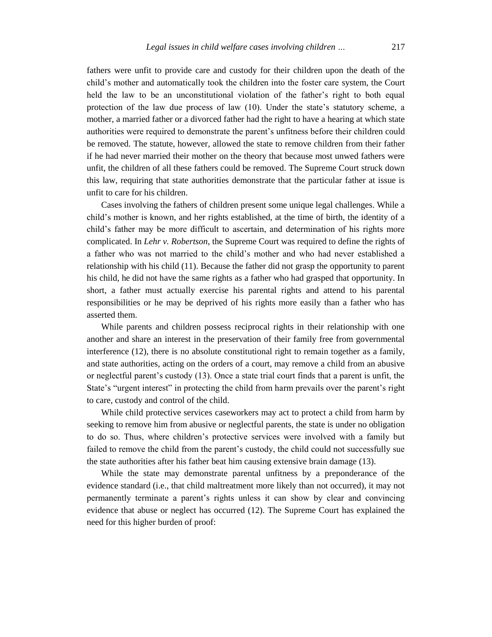fathers were unfit to provide care and custody for their children upon the death of the child's mother and automatically took the children into the foster care system, the Court held the law to be an unconstitutional violation of the father's right to both equal protection of the law due process of law (10). Under the state's statutory scheme, a mother, a married father or a divorced father had the right to have a hearing at which state authorities were required to demonstrate the parent's unfitness before their children could be removed. The statute, however, allowed the state to remove children from their father if he had never married their mother on the theory that because most unwed fathers were unfit, the children of all these fathers could be removed. The Supreme Court struck down this law, requiring that state authorities demonstrate that the particular father at issue is unfit to care for his children.

Cases involving the fathers of children present some unique legal challenges. While a child's mother is known, and her rights established, at the time of birth, the identity of a child's father may be more difficult to ascertain, and determination of his rights more complicated. In *Lehr v. Robertson*, the Supreme Court was required to define the rights of a father who was not married to the child's mother and who had never established a relationship with his child (11). Because the father did not grasp the opportunity to parent his child, he did not have the same rights as a father who had grasped that opportunity. In short, a father must actually exercise his parental rights and attend to his parental responsibilities or he may be deprived of his rights more easily than a father who has asserted them.

While parents and children possess reciprocal rights in their relationship with one another and share an interest in the preservation of their family free from governmental interference (12), there is no absolute constitutional right to remain together as a family, and state authorities, acting on the orders of a court, may remove a child from an abusive or neglectful parent's custody (13). Once a state trial court finds that a parent is unfit, the State's "urgent interest" in protecting the child from harm prevails over the parent's right to care, custody and control of the child.

While child protective services caseworkers may act to protect a child from harm by seeking to remove him from abusive or neglectful parents, the state is under no obligation to do so. Thus, where children's protective services were involved with a family but failed to remove the child from the parent's custody, the child could not successfully sue the state authorities after his father beat him causing extensive brain damage (13).

While the state may demonstrate parental unfitness by a preponderance of the evidence standard (i.e., that child maltreatment more likely than not occurred), it may not permanently terminate a parent's rights unless it can show by clear and convincing evidence that abuse or neglect has occurred (12). The Supreme Court has explained the need for this higher burden of proof: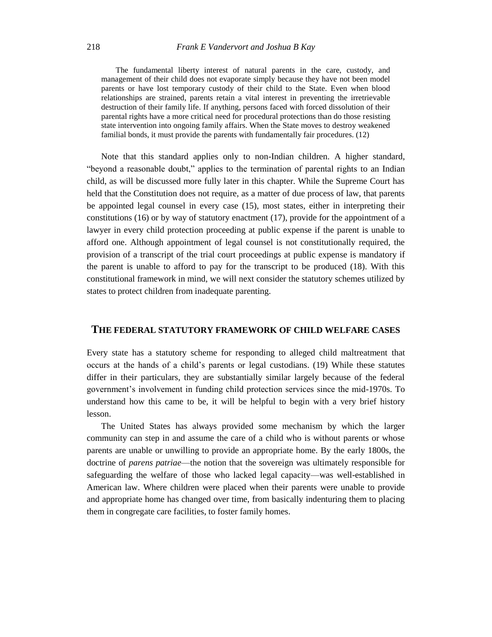The fundamental liberty interest of natural parents in the care, custody, and management of their child does not evaporate simply because they have not been model parents or have lost temporary custody of their child to the State. Even when blood relationships are strained, parents retain a vital interest in preventing the irretrievable destruction of their family life. If anything, persons faced with forced dissolution of their parental rights have a more critical need for procedural protections than do those resisting state intervention into ongoing family affairs. When the State moves to destroy weakened familial bonds, it must provide the parents with fundamentally fair procedures. (12)

Note that this standard applies only to non-Indian children. A higher standard, "beyond a reasonable doubt," applies to the termination of parental rights to an Indian child, as will be discussed more fully later in this chapter. While the Supreme Court has held that the Constitution does not require, as a matter of due process of law, that parents be appointed legal counsel in every case (15), most states, either in interpreting their constitutions (16) or by way of statutory enactment (17), provide for the appointment of a lawyer in every child protection proceeding at public expense if the parent is unable to afford one. Although appointment of legal counsel is not constitutionally required, the provision of a transcript of the trial court proceedings at public expense is mandatory if the parent is unable to afford to pay for the transcript to be produced (18). With this constitutional framework in mind, we will next consider the statutory schemes utilized by states to protect children from inadequate parenting.

#### **THE FEDERAL STATUTORY FRAMEWORK OF CHILD WELFARE CASES**

Every state has a statutory scheme for responding to alleged child maltreatment that occurs at the hands of a child's parents or legal custodians. (19) While these statutes differ in their particulars, they are substantially similar largely because of the federal government's involvement in funding child protection services since the mid-1970s. To understand how this came to be, it will be helpful to begin with a very brief history lesson.

The United States has always provided some mechanism by which the larger community can step in and assume the care of a child who is without parents or whose parents are unable or unwilling to provide an appropriate home. By the early 1800s, the doctrine of *parens patriae*—the notion that the sovereign was ultimately responsible for safeguarding the welfare of those who lacked legal capacity—was well-established in American law. Where children were placed when their parents were unable to provide and appropriate home has changed over time, from basically indenturing them to placing them in congregate care facilities, to foster family homes.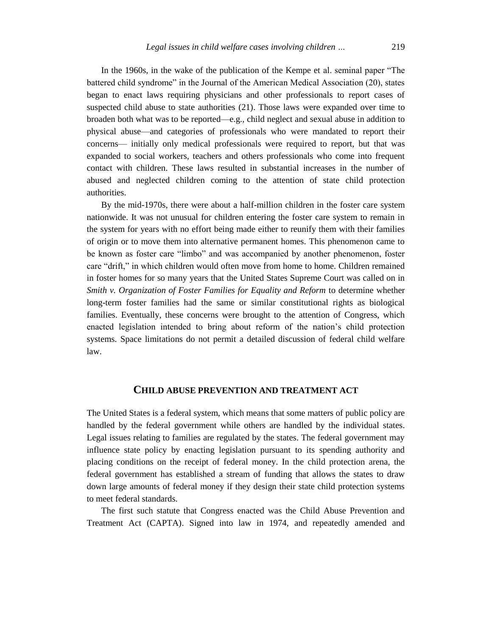In the 1960s, in the wake of the publication of the Kempe et al. seminal paper "The battered child syndrome" in the Journal of the American Medical Association (20), states began to enact laws requiring physicians and other professionals to report cases of suspected child abuse to state authorities (21). Those laws were expanded over time to broaden both what was to be reported—e.g., child neglect and sexual abuse in addition to physical abuse—and categories of professionals who were mandated to report their concerns— initially only medical professionals were required to report, but that was expanded to social workers, teachers and others professionals who come into frequent contact with children. These laws resulted in substantial increases in the number of abused and neglected children coming to the attention of state child protection authorities.

By the mid-1970s, there were about a half-million children in the foster care system nationwide. It was not unusual for children entering the foster care system to remain in the system for years with no effort being made either to reunify them with their families of origin or to move them into alternative permanent homes. This phenomenon came to be known as foster care "limbo" and was accompanied by another phenomenon, foster care "drift," in which children would often move from home to home. Children remained in foster homes for so many years that the United States Supreme Court was called on in *Smith v. Organization of Foster Families for Equality and Reform* to determine whether long-term foster families had the same or similar constitutional rights as biological families. Eventually, these concerns were brought to the attention of Congress, which enacted legislation intended to bring about reform of the nation's child protection systems. Space limitations do not permit a detailed discussion of federal child welfare law.

#### **CHILD ABUSE PREVENTION AND TREATMENT ACT**

The United States is a federal system, which means that some matters of public policy are handled by the federal government while others are handled by the individual states. Legal issues relating to families are regulated by the states. The federal government may influence state policy by enacting legislation pursuant to its spending authority and placing conditions on the receipt of federal money. In the child protection arena, the federal government has established a stream of funding that allows the states to draw down large amounts of federal money if they design their state child protection systems to meet federal standards.

The first such statute that Congress enacted was the Child Abuse Prevention and Treatment Act (CAPTA). Signed into law in 1974, and repeatedly amended and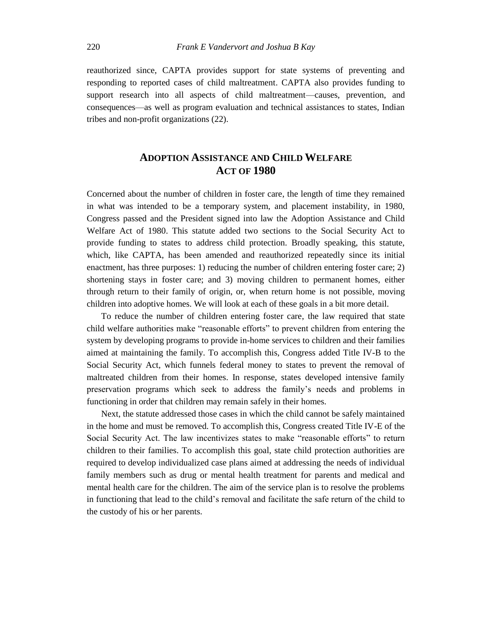reauthorized since, CAPTA provides support for state systems of preventing and responding to reported cases of child maltreatment. CAPTA also provides funding to support research into all aspects of child maltreatment—causes, prevention, and consequences—as well as program evaluation and technical assistances to states, Indian tribes and non-profit organizations (22).

# **ADOPTION ASSISTANCE AND CHILD WELFARE ACT OF 1980**

Concerned about the number of children in foster care, the length of time they remained in what was intended to be a temporary system, and placement instability, in 1980, Congress passed and the President signed into law the Adoption Assistance and Child Welfare Act of 1980. This statute added two sections to the Social Security Act to provide funding to states to address child protection. Broadly speaking, this statute, which, like CAPTA, has been amended and reauthorized repeatedly since its initial enactment, has three purposes: 1) reducing the number of children entering foster care; 2) shortening stays in foster care; and 3) moving children to permanent homes, either through return to their family of origin, or, when return home is not possible, moving children into adoptive homes. We will look at each of these goals in a bit more detail.

To reduce the number of children entering foster care, the law required that state child welfare authorities make "reasonable efforts" to prevent children from entering the system by developing programs to provide in-home services to children and their families aimed at maintaining the family. To accomplish this, Congress added Title IV-B to the Social Security Act, which funnels federal money to states to prevent the removal of maltreated children from their homes. In response, states developed intensive family preservation programs which seek to address the family's needs and problems in functioning in order that children may remain safely in their homes.

Next, the statute addressed those cases in which the child cannot be safely maintained in the home and must be removed. To accomplish this, Congress created Title IV-E of the Social Security Act. The law incentivizes states to make "reasonable efforts" to return children to their families. To accomplish this goal, state child protection authorities are required to develop individualized case plans aimed at addressing the needs of individual family members such as drug or mental health treatment for parents and medical and mental health care for the children. The aim of the service plan is to resolve the problems in functioning that lead to the child's removal and facilitate the safe return of the child to the custody of his or her parents.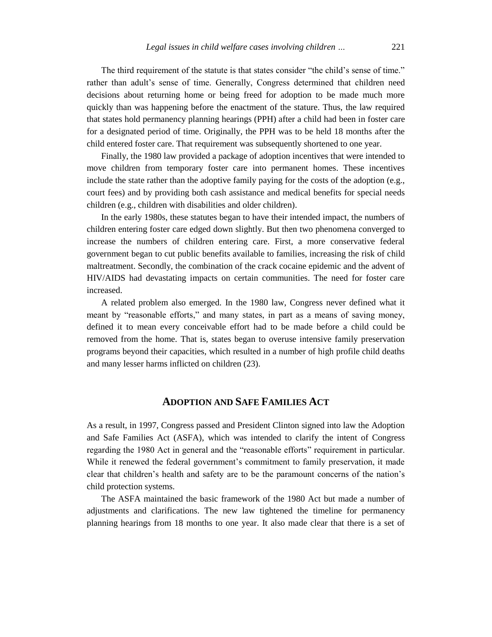The third requirement of the statute is that states consider "the child's sense of time." rather than adult's sense of time. Generally, Congress determined that children need decisions about returning home or being freed for adoption to be made much more quickly than was happening before the enactment of the stature. Thus, the law required that states hold permanency planning hearings (PPH) after a child had been in foster care for a designated period of time. Originally, the PPH was to be held 18 months after the child entered foster care. That requirement was subsequently shortened to one year.

Finally, the 1980 law provided a package of adoption incentives that were intended to move children from temporary foster care into permanent homes. These incentives include the state rather than the adoptive family paying for the costs of the adoption (e.g., court fees) and by providing both cash assistance and medical benefits for special needs children (e.g., children with disabilities and older children).

In the early 1980s, these statutes began to have their intended impact, the numbers of children entering foster care edged down slightly. But then two phenomena converged to increase the numbers of children entering care. First, a more conservative federal government began to cut public benefits available to families, increasing the risk of child maltreatment. Secondly, the combination of the crack cocaine epidemic and the advent of HIV/AIDS had devastating impacts on certain communities. The need for foster care increased.

A related problem also emerged. In the 1980 law, Congress never defined what it meant by "reasonable efforts," and many states, in part as a means of saving money, defined it to mean every conceivable effort had to be made before a child could be removed from the home. That is, states began to overuse intensive family preservation programs beyond their capacities, which resulted in a number of high profile child deaths and many lesser harms inflicted on children (23).

# **ADOPTION AND SAFE FAMILIES ACT**

As a result, in 1997, Congress passed and President Clinton signed into law the Adoption and Safe Families Act (ASFA), which was intended to clarify the intent of Congress regarding the 1980 Act in general and the "reasonable efforts" requirement in particular. While it renewed the federal government's commitment to family preservation, it made clear that children's health and safety are to be the paramount concerns of the nation's child protection systems.

The ASFA maintained the basic framework of the 1980 Act but made a number of adjustments and clarifications. The new law tightened the timeline for permanency planning hearings from 18 months to one year. It also made clear that there is a set of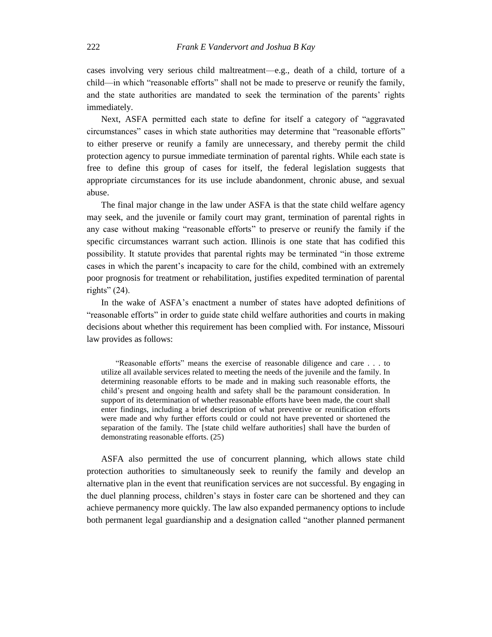cases involving very serious child maltreatment—e.g., death of a child, torture of a child—in which "reasonable efforts" shall not be made to preserve or reunify the family, and the state authorities are mandated to seek the termination of the parents' rights immediately.

Next, ASFA permitted each state to define for itself a category of "aggravated circumstances" cases in which state authorities may determine that "reasonable efforts" to either preserve or reunify a family are unnecessary, and thereby permit the child protection agency to pursue immediate termination of parental rights. While each state is free to define this group of cases for itself, the federal legislation suggests that appropriate circumstances for its use include abandonment, chronic abuse, and sexual abuse.

The final major change in the law under ASFA is that the state child welfare agency may seek, and the juvenile or family court may grant, termination of parental rights in any case without making "reasonable efforts" to preserve or reunify the family if the specific circumstances warrant such action. Illinois is one state that has codified this possibility. It statute provides that parental rights may be terminated "in those extreme cases in which the parent's incapacity to care for the child, combined with an extremely poor prognosis for treatment or rehabilitation, justifies expedited termination of parental rights"  $(24)$ .

In the wake of ASFA's enactment a number of states have adopted definitions of "reasonable efforts" in order to guide state child welfare authorities and courts in making decisions about whether this requirement has been complied with. For instance, Missouri law provides as follows:

"Reasonable efforts" means the exercise of reasonable diligence and care . . . to utilize all available services related to meeting the needs of the juvenile and the family. In determining reasonable efforts to be made and in making such reasonable efforts, the child's present and ongoing health and safety shall be the paramount consideration. In support of its determination of whether reasonable efforts have been made, the court shall enter findings, including a brief description of what preventive or reunification efforts were made and why further efforts could or could not have prevented or shortened the separation of the family. The [state child welfare authorities] shall have the burden of demonstrating reasonable efforts. (25)

ASFA also permitted the use of concurrent planning, which allows state child protection authorities to simultaneously seek to reunify the family and develop an alternative plan in the event that reunification services are not successful. By engaging in the duel planning process, children's stays in foster care can be shortened and they can achieve permanency more quickly. The law also expanded permanency options to include both permanent legal guardianship and a designation called "another planned permanent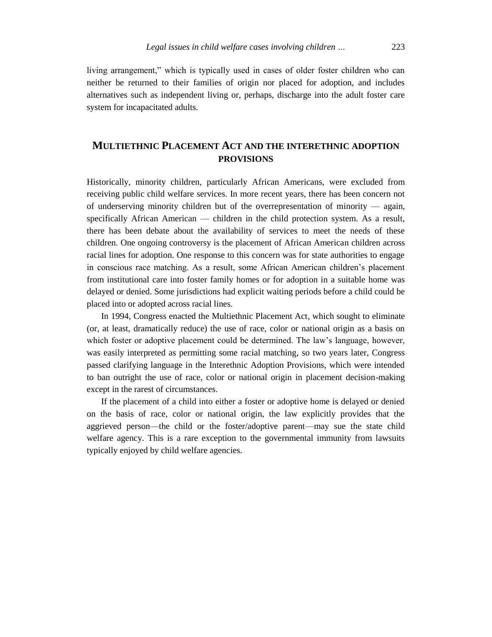living arrangement," which is typically used in cases of older foster children who can neither be returned to their families of origin nor placed for adoption, and includes alternatives such as independent living or, perhaps, discharge into the adult foster care system for incapacitated adults.

# **MULTIETHNIC PLACEMENT ACT AND THE INTERETHNIC ADOPTION PROVISIONS**

Historically, minority children, particularly African Americans, were excluded from receiving public child welfare services. In more recent years, there has been concern not of underserving minority children but of the overrepresentation of minority — again, specifically African American — children in the child protection system. As a result, there has been debate about the availability of services to meet the needs of these children. One ongoing controversy is the placement of African American children across racial lines for adoption. One response to this concern was for state authorities to engage in conscious race matching. As a result, some African American children's placement from institutional care into foster family homes or for adoption in a suitable home was delayed or denied. Some jurisdictions had explicit waiting periods before a child could be placed into or adopted across racial lines.

In 1994, Congress enacted the Multiethnic Placement Act, which sought to eliminate (or, at least, dramatically reduce) the use of race, color or national origin as a basis on which foster or adoptive placement could be determined. The law's language, however, was easily interpreted as permitting some racial matching, so two years later, Congress passed clarifying language in the Interethnic Adoption Provisions, which were intended to ban outright the use of race, color or national origin in placement decision-making except in the rarest of circumstances.

If the placement of a child into either a foster or adoptive home is delayed or denied on the basis of race, color or national origin, the law explicitly provides that the aggrieved person—the child or the foster/adoptive parent—may sue the state child welfare agency. This is a rare exception to the governmental immunity from lawsuits typically enjoyed by child welfare agencies.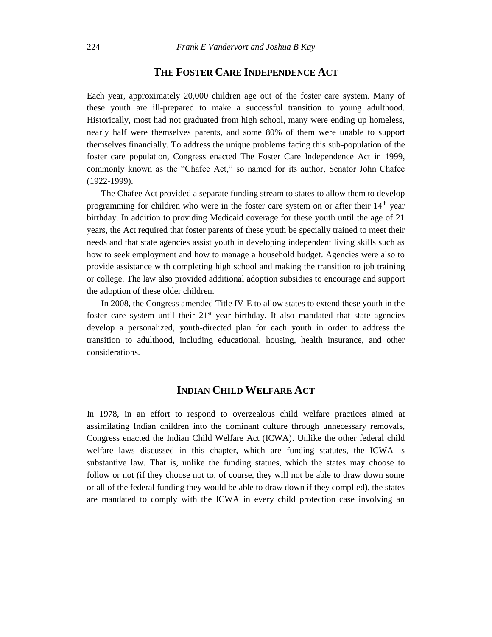### **THE FOSTER CARE INDEPENDENCE ACT**

Each year, approximately 20,000 children age out of the foster care system. Many of these youth are ill-prepared to make a successful transition to young adulthood. Historically, most had not graduated from high school, many were ending up homeless, nearly half were themselves parents, and some 80% of them were unable to support themselves financially. To address the unique problems facing this sub-population of the foster care population, Congress enacted The Foster Care Independence Act in 1999, commonly known as the "Chafee Act," so named for its author, Senator John Chafee (1922-1999).

The Chafee Act provided a separate funding stream to states to allow them to develop programming for children who were in the foster care system on or after their  $14<sup>th</sup>$  year birthday. In addition to providing Medicaid coverage for these youth until the age of 21 years, the Act required that foster parents of these youth be specially trained to meet their needs and that state agencies assist youth in developing independent living skills such as how to seek employment and how to manage a household budget. Agencies were also to provide assistance with completing high school and making the transition to job training or college. The law also provided additional adoption subsidies to encourage and support the adoption of these older children.

In 2008, the Congress amended Title IV-E to allow states to extend these youth in the foster care system until their  $21<sup>st</sup>$  year birthday. It also mandated that state agencies develop a personalized, youth-directed plan for each youth in order to address the transition to adulthood, including educational, housing, health insurance, and other considerations.

## **INDIAN CHILD WELFARE ACT**

In 1978, in an effort to respond to overzealous child welfare practices aimed at assimilating Indian children into the dominant culture through unnecessary removals, Congress enacted the Indian Child Welfare Act (ICWA). Unlike the other federal child welfare laws discussed in this chapter, which are funding statutes, the ICWA is substantive law. That is, unlike the funding statues, which the states may choose to follow or not (if they choose not to, of course, they will not be able to draw down some or all of the federal funding they would be able to draw down if they complied), the states are mandated to comply with the ICWA in every child protection case involving an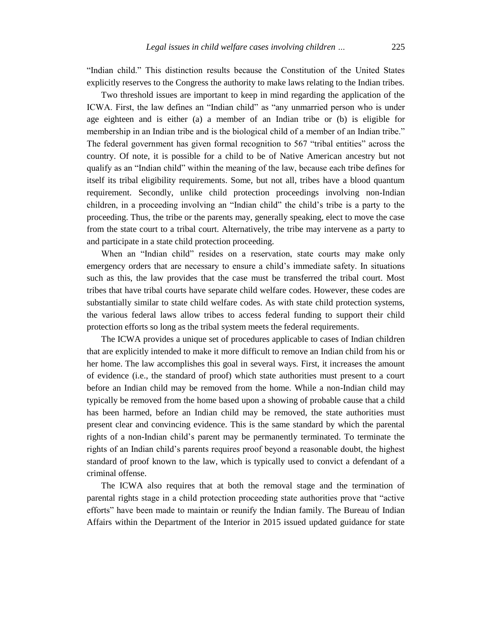"Indian child." This distinction results because the Constitution of the United States explicitly reserves to the Congress the authority to make laws relating to the Indian tribes.

Two threshold issues are important to keep in mind regarding the application of the ICWA. First, the law defines an "Indian child" as "any unmarried person who is under age eighteen and is either (a) a member of an Indian tribe or (b) is eligible for membership in an Indian tribe and is the biological child of a member of an Indian tribe." The federal government has given formal recognition to 567 "tribal entities" across the country. Of note, it is possible for a child to be of Native American ancestry but not qualify as an "Indian child" within the meaning of the law, because each tribe defines for itself its tribal eligibility requirements. Some, but not all, tribes have a blood quantum requirement. Secondly, unlike child protection proceedings involving non-Indian children, in a proceeding involving an "Indian child" the child's tribe is a party to the proceeding. Thus, the tribe or the parents may, generally speaking, elect to move the case from the state court to a tribal court. Alternatively, the tribe may intervene as a party to and participate in a state child protection proceeding.

When an "Indian child" resides on a reservation, state courts may make only emergency orders that are necessary to ensure a child's immediate safety. In situations such as this, the law provides that the case must be transferred the tribal court. Most tribes that have tribal courts have separate child welfare codes. However, these codes are substantially similar to state child welfare codes. As with state child protection systems, the various federal laws allow tribes to access federal funding to support their child protection efforts so long as the tribal system meets the federal requirements.

The ICWA provides a unique set of procedures applicable to cases of Indian children that are explicitly intended to make it more difficult to remove an Indian child from his or her home. The law accomplishes this goal in several ways. First, it increases the amount of evidence (i.e., the standard of proof) which state authorities must present to a court before an Indian child may be removed from the home. While a non-Indian child may typically be removed from the home based upon a showing of probable cause that a child has been harmed, before an Indian child may be removed, the state authorities must present clear and convincing evidence. This is the same standard by which the parental rights of a non-Indian child's parent may be permanently terminated. To terminate the rights of an Indian child's parents requires proof beyond a reasonable doubt, the highest standard of proof known to the law, which is typically used to convict a defendant of a criminal offense.

The ICWA also requires that at both the removal stage and the termination of parental rights stage in a child protection proceeding state authorities prove that "active efforts" have been made to maintain or reunify the Indian family. The Bureau of Indian Affairs within the Department of the Interior in 2015 issued updated guidance for state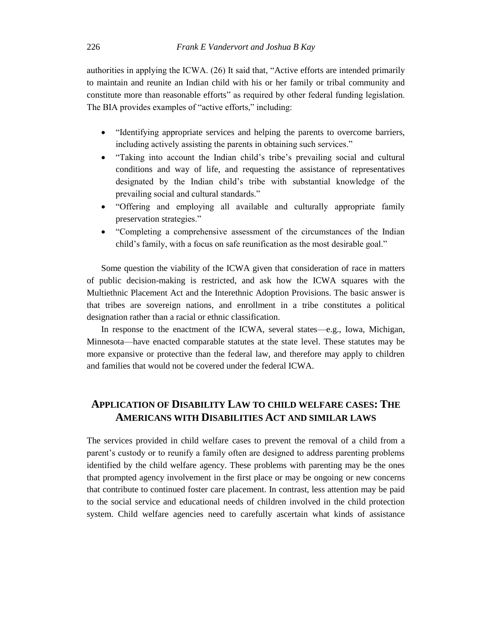authorities in applying the ICWA. (26) It said that, "Active efforts are intended primarily to maintain and reunite an Indian child with his or her family or tribal community and constitute more than reasonable efforts" as required by other federal funding legislation. The BIA provides examples of "active efforts," including:

- "Identifying appropriate services and helping the parents to overcome barriers, including actively assisting the parents in obtaining such services."
- "Taking into account the Indian child's tribe's prevailing social and cultural conditions and way of life, and requesting the assistance of representatives designated by the Indian child's tribe with substantial knowledge of the prevailing social and cultural standards."
- "Offering and employing all available and culturally appropriate family preservation strategies."
- "Completing a comprehensive assessment of the circumstances of the Indian child's family, with a focus on safe reunification as the most desirable goal."

Some question the viability of the ICWA given that consideration of race in matters of public decision-making is restricted, and ask how the ICWA squares with the Multiethnic Placement Act and the Interethnic Adoption Provisions. The basic answer is that tribes are sovereign nations, and enrollment in a tribe constitutes a political designation rather than a racial or ethnic classification.

In response to the enactment of the ICWA, several states—e.g., Iowa, Michigan, Minnesota—have enacted comparable statutes at the state level. These statutes may be more expansive or protective than the federal law, and therefore may apply to children and families that would not be covered under the federal ICWA.

# **APPLICATION OF DISABILITY LAW TO CHILD WELFARE CASES: THE AMERICANS WITH DISABILITIES ACT AND SIMILAR LAWS**

The services provided in child welfare cases to prevent the removal of a child from a parent's custody or to reunify a family often are designed to address parenting problems identified by the child welfare agency. These problems with parenting may be the ones that prompted agency involvement in the first place or may be ongoing or new concerns that contribute to continued foster care placement. In contrast, less attention may be paid to the social service and educational needs of children involved in the child protection system. Child welfare agencies need to carefully ascertain what kinds of assistance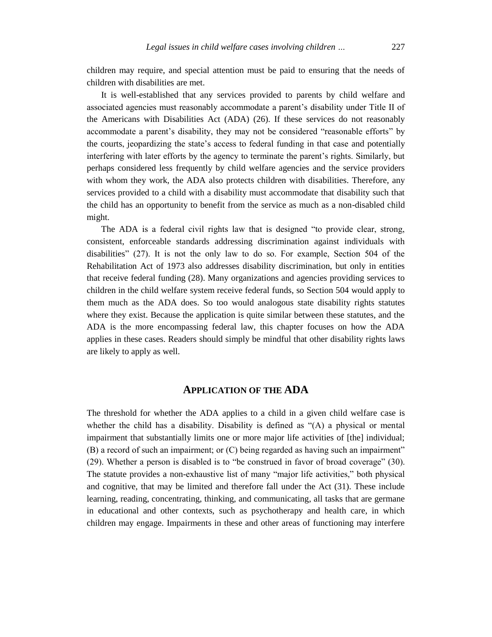children may require, and special attention must be paid to ensuring that the needs of children with disabilities are met.

It is well-established that any services provided to parents by child welfare and associated agencies must reasonably accommodate a parent's disability under Title II of the Americans with Disabilities Act (ADA) (26). If these services do not reasonably accommodate a parent's disability, they may not be considered "reasonable efforts" by the courts, jeopardizing the state's access to federal funding in that case and potentially interfering with later efforts by the agency to terminate the parent's rights. Similarly, but perhaps considered less frequently by child welfare agencies and the service providers with whom they work, the ADA also protects children with disabilities. Therefore, any services provided to a child with a disability must accommodate that disability such that the child has an opportunity to benefit from the service as much as a non-disabled child might.

The ADA is a federal civil rights law that is designed "to provide clear, strong, consistent, enforceable standards addressing discrimination against individuals with disabilities" (27). It is not the only law to do so. For example, Section 504 of the Rehabilitation Act of 1973 also addresses disability discrimination, but only in entities that receive federal funding (28). Many organizations and agencies providing services to children in the child welfare system receive federal funds, so Section 504 would apply to them much as the ADA does. So too would analogous state disability rights statutes where they exist. Because the application is quite similar between these statutes, and the ADA is the more encompassing federal law, this chapter focuses on how the ADA applies in these cases. Readers should simply be mindful that other disability rights laws are likely to apply as well.

#### **APPLICATION OF THE ADA**

The threshold for whether the ADA applies to a child in a given child welfare case is whether the child has a disability. Disability is defined as "(A) a physical or mental impairment that substantially limits one or more major life activities of [the] individual; (B) a record of such an impairment; or (C) being regarded as having such an impairment" (29). Whether a person is disabled is to "be construed in favor of broad coverage" (30). The statute provides a non-exhaustive list of many "major life activities," both physical and cognitive, that may be limited and therefore fall under the Act (31). These include learning, reading, concentrating, thinking, and communicating, all tasks that are germane in educational and other contexts, such as psychotherapy and health care, in which children may engage. Impairments in these and other areas of functioning may interfere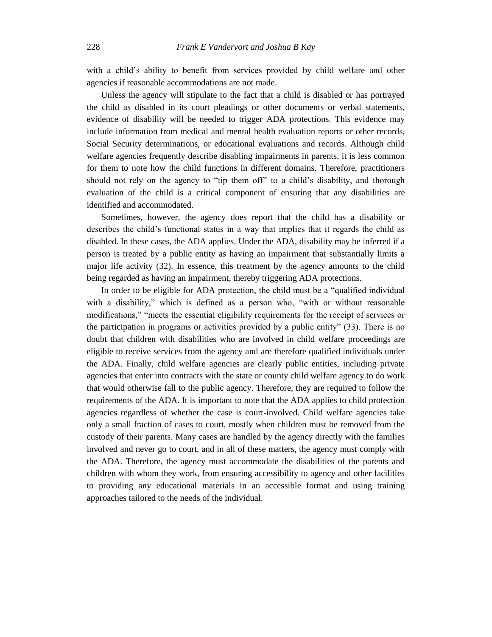with a child's ability to benefit from services provided by child welfare and other agencies if reasonable accommodations are not made.

Unless the agency will stipulate to the fact that a child is disabled or has portrayed the child as disabled in its court pleadings or other documents or verbal statements, evidence of disability will be needed to trigger ADA protections. This evidence may include information from medical and mental health evaluation reports or other records, Social Security determinations, or educational evaluations and records. Although child welfare agencies frequently describe disabling impairments in parents, it is less common for them to note how the child functions in different domains. Therefore, practitioners should not rely on the agency to "tip them off" to a child's disability, and thorough evaluation of the child is a critical component of ensuring that any disabilities are identified and accommodated.

Sometimes, however, the agency does report that the child has a disability or describes the child's functional status in a way that implies that it regards the child as disabled. In these cases, the ADA applies. Under the ADA, disability may be inferred if a person is treated by a public entity as having an impairment that substantially limits a major life activity (32). In essence, this treatment by the agency amounts to the child being regarded as having an impairment, thereby triggering ADA protections.

In order to be eligible for ADA protection, the child must be a "qualified individual with a disability," which is defined as a person who, "with or without reasonable modifications," "meets the essential eligibility requirements for the receipt of services or the participation in programs or activities provided by a public entity" (33). There is no doubt that children with disabilities who are involved in child welfare proceedings are eligible to receive services from the agency and are therefore qualified individuals under the ADA. Finally, child welfare agencies are clearly public entities, including private agencies that enter into contracts with the state or county child welfare agency to do work that would otherwise fall to the public agency. Therefore, they are required to follow the requirements of the ADA. It is important to note that the ADA applies to child protection agencies regardless of whether the case is court-involved. Child welfare agencies take only a small fraction of cases to court, mostly when children must be removed from the custody of their parents. Many cases are handled by the agency directly with the families involved and never go to court, and in all of these matters, the agency must comply with the ADA. Therefore, the agency must accommodate the disabilities of the parents and children with whom they work, from ensuring accessibility to agency and other facilities to providing any educational materials in an accessible format and using training approaches tailored to the needs of the individual.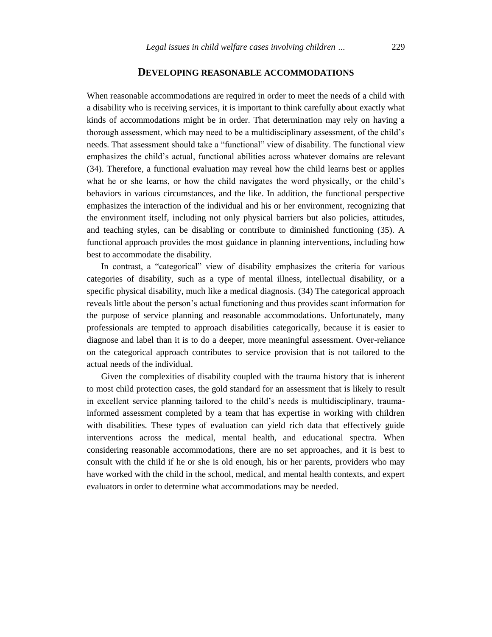#### **DEVELOPING REASONABLE ACCOMMODATIONS**

When reasonable accommodations are required in order to meet the needs of a child with a disability who is receiving services, it is important to think carefully about exactly what kinds of accommodations might be in order. That determination may rely on having a thorough assessment, which may need to be a multidisciplinary assessment, of the child's needs. That assessment should take a "functional" view of disability. The functional view emphasizes the child's actual, functional abilities across whatever domains are relevant (34). Therefore, a functional evaluation may reveal how the child learns best or applies what he or she learns, or how the child navigates the word physically, or the child's behaviors in various circumstances, and the like. In addition, the functional perspective emphasizes the interaction of the individual and his or her environment, recognizing that the environment itself, including not only physical barriers but also policies, attitudes, and teaching styles, can be disabling or contribute to diminished functioning (35). A functional approach provides the most guidance in planning interventions, including how best to accommodate the disability.

In contrast, a "categorical" view of disability emphasizes the criteria for various categories of disability, such as a type of mental illness, intellectual disability, or a specific physical disability, much like a medical diagnosis. (34) The categorical approach reveals little about the person's actual functioning and thus provides scant information for the purpose of service planning and reasonable accommodations. Unfortunately, many professionals are tempted to approach disabilities categorically, because it is easier to diagnose and label than it is to do a deeper, more meaningful assessment. Over-reliance on the categorical approach contributes to service provision that is not tailored to the actual needs of the individual.

Given the complexities of disability coupled with the trauma history that is inherent to most child protection cases, the gold standard for an assessment that is likely to result in excellent service planning tailored to the child's needs is multidisciplinary, traumainformed assessment completed by a team that has expertise in working with children with disabilities. These types of evaluation can yield rich data that effectively guide interventions across the medical, mental health, and educational spectra. When considering reasonable accommodations, there are no set approaches, and it is best to consult with the child if he or she is old enough, his or her parents, providers who may have worked with the child in the school, medical, and mental health contexts, and expert evaluators in order to determine what accommodations may be needed.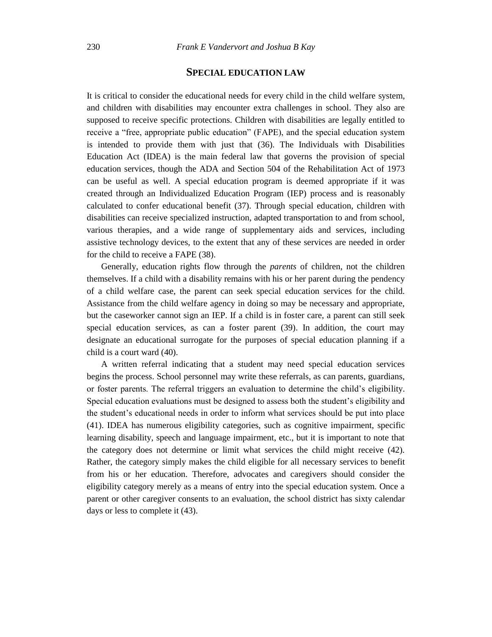#### **SPECIAL EDUCATION LAW**

It is critical to consider the educational needs for every child in the child welfare system, and children with disabilities may encounter extra challenges in school. They also are supposed to receive specific protections. Children with disabilities are legally entitled to receive a "free, appropriate public education" (FAPE), and the special education system is intended to provide them with just that (36). The Individuals with Disabilities Education Act (IDEA) is the main federal law that governs the provision of special education services, though the ADA and Section 504 of the Rehabilitation Act of 1973 can be useful as well. A special education program is deemed appropriate if it was created through an Individualized Education Program (IEP) process and is reasonably calculated to confer educational benefit (37). Through special education, children with disabilities can receive specialized instruction, adapted transportation to and from school, various therapies, and a wide range of supplementary aids and services, including assistive technology devices, to the extent that any of these services are needed in order for the child to receive a FAPE (38).

Generally, education rights flow through the *parents* of children, not the children themselves. If a child with a disability remains with his or her parent during the pendency of a child welfare case, the parent can seek special education services for the child. Assistance from the child welfare agency in doing so may be necessary and appropriate, but the caseworker cannot sign an IEP. If a child is in foster care, a parent can still seek special education services, as can a foster parent (39). In addition, the court may designate an educational surrogate for the purposes of special education planning if a child is a court ward (40).

A written referral indicating that a student may need special education services begins the process. School personnel may write these referrals, as can parents, guardians, or foster parents. The referral triggers an evaluation to determine the child's eligibility. Special education evaluations must be designed to assess both the student's eligibility and the student's educational needs in order to inform what services should be put into place (41). IDEA has numerous eligibility categories, such as cognitive impairment, specific learning disability, speech and language impairment, etc., but it is important to note that the category does not determine or limit what services the child might receive (42). Rather, the category simply makes the child eligible for all necessary services to benefit from his or her education. Therefore, advocates and caregivers should consider the eligibility category merely as a means of entry into the special education system. Once a parent or other caregiver consents to an evaluation, the school district has sixty calendar days or less to complete it (43).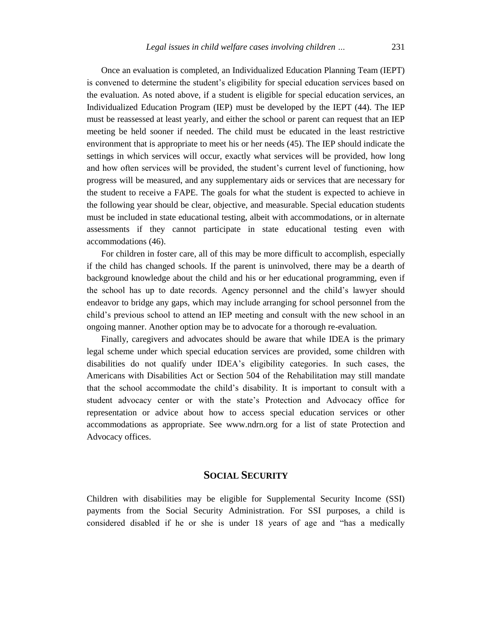Once an evaluation is completed, an Individualized Education Planning Team (IEPT) is convened to determine the student's eligibility for special education services based on the evaluation. As noted above, if a student is eligible for special education services, an Individualized Education Program (IEP) must be developed by the IEPT (44). The IEP must be reassessed at least yearly, and either the school or parent can request that an IEP meeting be held sooner if needed. The child must be educated in the least restrictive environment that is appropriate to meet his or her needs (45). The IEP should indicate the settings in which services will occur, exactly what services will be provided, how long and how often services will be provided, the student's current level of functioning, how progress will be measured, and any supplementary aids or services that are necessary for the student to receive a FAPE. The goals for what the student is expected to achieve in the following year should be clear, objective, and measurable. Special education students must be included in state educational testing, albeit with accommodations, or in alternate assessments if they cannot participate in state educational testing even with accommodations (46).

For children in foster care, all of this may be more difficult to accomplish, especially if the child has changed schools. If the parent is uninvolved, there may be a dearth of background knowledge about the child and his or her educational programming, even if the school has up to date records. Agency personnel and the child's lawyer should endeavor to bridge any gaps, which may include arranging for school personnel from the child's previous school to attend an IEP meeting and consult with the new school in an ongoing manner. Another option may be to advocate for a thorough re-evaluation.

Finally, caregivers and advocates should be aware that while IDEA is the primary legal scheme under which special education services are provided, some children with disabilities do not qualify under IDEA's eligibility categories. In such cases, the Americans with Disabilities Act or Section 504 of the Rehabilitation may still mandate that the school accommodate the child's disability. It is important to consult with a student advocacy center or with the state's Protection and Advocacy office for representation or advice about how to access special education services or other accommodations as appropriate. See www.ndrn.org for a list of state Protection and Advocacy offices.

#### **SOCIAL SECURITY**

Children with disabilities may be eligible for Supplemental Security Income (SSI) payments from the Social Security Administration. For SSI purposes, a child is considered disabled if he or she is under 18 years of age and "has a medically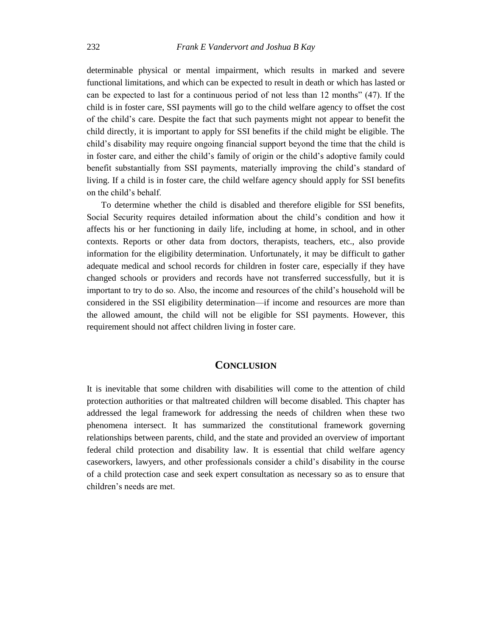determinable physical or mental impairment, which results in marked and severe functional limitations, and which can be expected to result in death or which has lasted or can be expected to last for a continuous period of not less than 12 months" (47). If the child is in foster care, SSI payments will go to the child welfare agency to offset the cost of the child's care. Despite the fact that such payments might not appear to benefit the child directly, it is important to apply for SSI benefits if the child might be eligible. The child's disability may require ongoing financial support beyond the time that the child is in foster care, and either the child's family of origin or the child's adoptive family could benefit substantially from SSI payments, materially improving the child's standard of living. If a child is in foster care, the child welfare agency should apply for SSI benefits on the child's behalf.

To determine whether the child is disabled and therefore eligible for SSI benefits, Social Security requires detailed information about the child's condition and how it affects his or her functioning in daily life, including at home, in school, and in other contexts. Reports or other data from doctors, therapists, teachers, etc., also provide information for the eligibility determination. Unfortunately, it may be difficult to gather adequate medical and school records for children in foster care, especially if they have changed schools or providers and records have not transferred successfully, but it is important to try to do so. Also, the income and resources of the child's household will be considered in the SSI eligibility determination—if income and resources are more than the allowed amount, the child will not be eligible for SSI payments. However, this requirement should not affect children living in foster care.

#### **CONCLUSION**

It is inevitable that some children with disabilities will come to the attention of child protection authorities or that maltreated children will become disabled. This chapter has addressed the legal framework for addressing the needs of children when these two phenomena intersect. It has summarized the constitutional framework governing relationships between parents, child, and the state and provided an overview of important federal child protection and disability law. It is essential that child welfare agency caseworkers, lawyers, and other professionals consider a child's disability in the course of a child protection case and seek expert consultation as necessary so as to ensure that children's needs are met.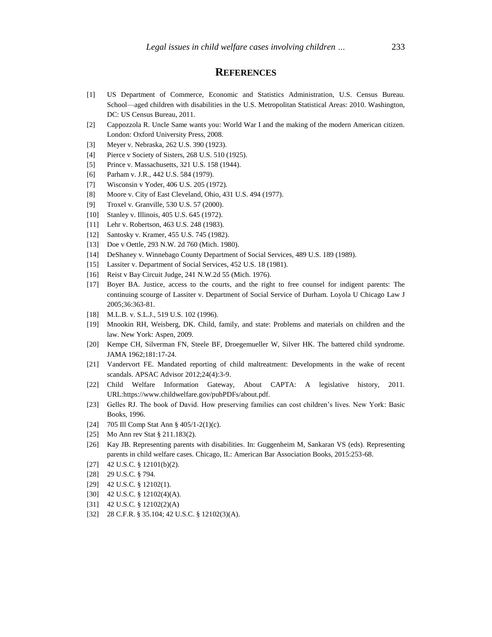#### **REFERENCES**

- [1] US Department of Commerce, Economic and Statistics Administration, U.S. Census Bureau. School—aged children with disabilities in the U.S. Metropolitan Statistical Areas: 2010. Washington, DC: US Census Bureau, 2011.
- [2] Cappozzola R. Uncle Same wants you: World War I and the making of the modern American citizen. London: Oxford University Press, 2008.
- [3] Meyer v. Nebraska, 262 U.S. 390 (1923).
- [4] Pierce v Society of Sisters, 268 U.S. 510 (1925).
- [5] Prince v. Massachusetts, 321 U.S. 158 (1944).
- [6] Parham v. J.R., 442 U.S. 584 (1979).
- [7] Wisconsin v Yoder, 406 U.S. 205 (1972).
- [8] Moore v. City of East Cleveland, Ohio, 431 U.S. 494 (1977).
- [9] Troxel v. Granville, 530 U.S. 57 (2000).
- [10] Stanley v. Illinois, 405 U.S. 645 (1972).
- [11] Lehr v. Robertson, 463 U.S. 248 (1983).
- [12] Santosky v. Kramer, 455 U.S. 745 (1982).
- [13] Doe v Oettle, 293 N.W. 2d 760 (Mich. 1980).
- [14] DeShaney v. Winnebago County Department of Social Services, 489 U.S. 189 (1989).
- [15] Lassiter v. Department of Social Services, 452 U.S. 18 (1981).
- [16] Reist v Bay Circuit Judge, 241 N.W.2d 55 (Mich. 1976).
- [17] Boyer BA. Justice, access to the courts, and the right to free counsel for indigent parents: The continuing scourge of Lassiter v. Department of Social Service of Durham. Loyola U Chicago Law J 2005;36:363-81.
- [18] M.L.B. v. S.L.J., 519 U.S. 102 (1996).
- [19] Mnookin RH, Weisberg, DK. Child, family, and state: Problems and materials on children and the law. New York: Aspen, 2009.
- [20] Kempe CH, Silverman FN, Steele BF, Droegemueller W, Silver HK. The battered child syndrome. JAMA 1962;181:17-24.
- [21] Vandervort FE. Mandated reporting of child maltreatment: Developments in the wake of recent scandals. APSAC Advisor 2012;24(4):3-9.
- [22] Child Welfare Information Gateway, About CAPTA: A legislative history, 2011. URL:https://www.childwelfare.gov/pubPDFs/about.pdf.
- [23] Gelles RJ. The book of David. How preserving families can cost children's lives. New York: Basic Books, 1996.
- [24] 705 Ill Comp Stat Ann § 405/1-2(1)(c).
- [25] Mo Ann rev Stat § 211.183(2).
- [26] Kay JB. Representing parents with disabilities. In: Guggenheim M, Sankaran VS (eds). Representing parents in child welfare cases. Chicago, IL: American Bar Association Books, 2015:253-68.
- [27] 42 U.S.C. § 12101(b)(2).
- [28] 29 U.S.C. § 794.
- [29] 42 U.S.C. § 12102(1).
- [30] 42 U.S.C. § 12102(4)(A).
- [31] 42 U.S.C. § 12102(2)(A)
- [32] 28 C.F.R. § 35.104; 42 U.S.C. § 12102(3)(A).